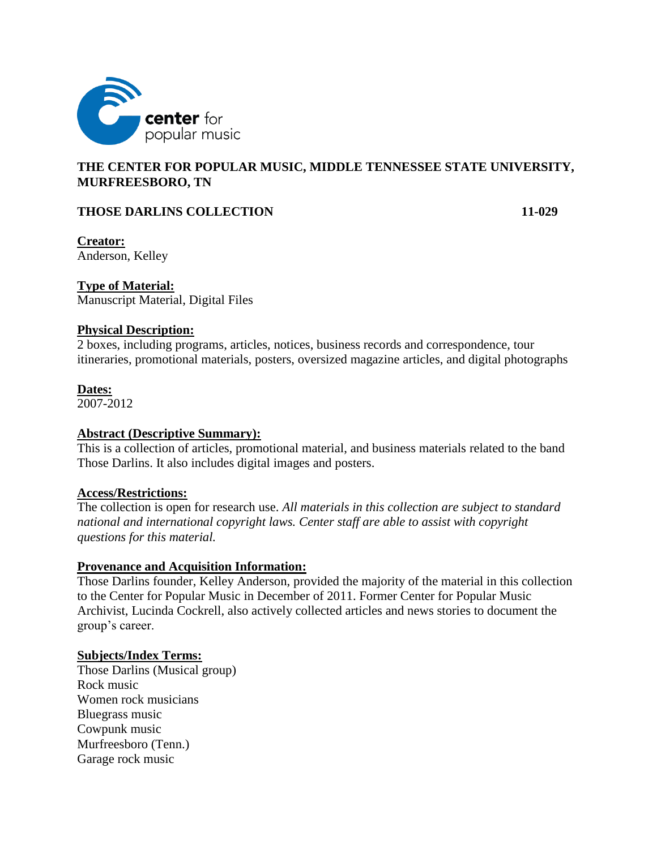

# **THE CENTER FOR POPULAR MUSIC, MIDDLE TENNESSEE STATE UNIVERSITY, MURFREESBORO, TN**

## **THOSE DARLINS COLLECTION 11-029**

**Creator:** Anderson, Kelley

### **Type of Material:**

Manuscript Material, Digital Files

#### **Physical Description:**

2 boxes, including programs, articles, notices, business records and correspondence, tour itineraries, promotional materials, posters, oversized magazine articles, and digital photographs

### **Dates:**

 $2007 - 2012$ 

### **Abstract (Descriptive Summary):**

This is a collection of articles, promotional material, and business materials related to the band Those Darlins. It also includes digital images and posters.

### **Access/Restrictions:**

The collection is open for research use. *All materials in this collection are subject to standard national and international copyright laws. Center staff are able to assist with copyright questions for this material.*

### **Provenance and Acquisition Information:**

Those Darlins founder, Kelley Anderson, provided the majority of the material in this collection to the Center for Popular Music in December of 2011. Former Center for Popular Music Archivist, Lucinda Cockrell, also actively collected articles and news stories to document the group's career.

### **Subjects/Index Terms:**

Those Darlins (Musical group) Rock music Women rock musicians Bluegrass music Cowpunk music Murfreesboro (Tenn.) Garage rock music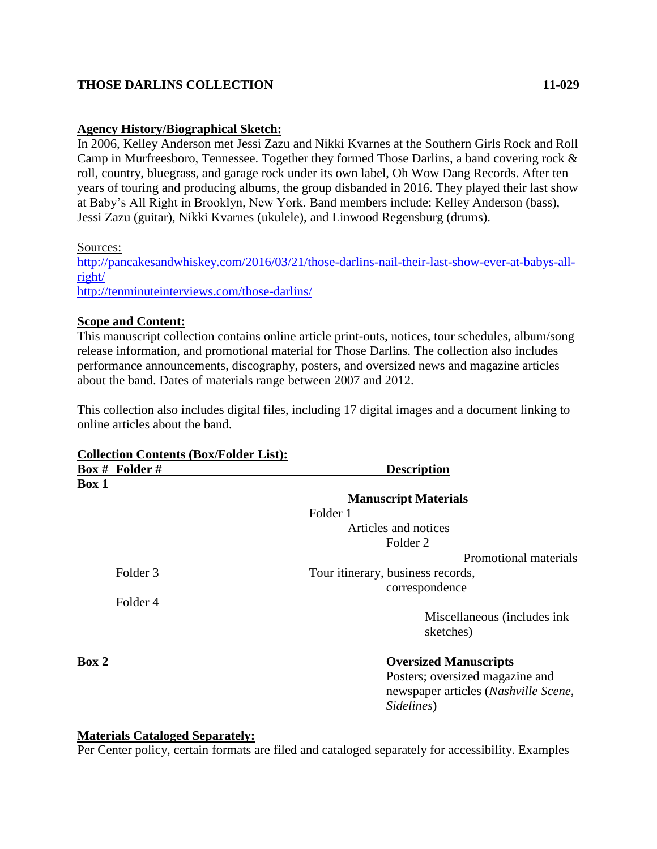# **THOSE DARLINS COLLECTION 11-029**

### **Agency History/Biographical Sketch:**

In 2006, Kelley Anderson met Jessi Zazu and Nikki Kvarnes at the Southern Girls Rock and Roll Camp in Murfreesboro, Tennessee. Together they formed Those Darlins, a band covering rock & roll, country, bluegrass, and garage rock under its own label, Oh Wow Dang Records. After ten years of touring and producing albums, the group disbanded in 2016. They played their last show at Baby's All Right in Brooklyn, New York. Band members include: Kelley Anderson (bass), Jessi Zazu (guitar), Nikki Kvarnes (ukulele), and Linwood Regensburg (drums).

Sources:

[http://pancakesandwhiskey.com/2016/03/21/those-darlins-nail-their-last-show-ever-at-babys-all](http://pancakesandwhiskey.com/2016/03/21/those-darlins-nail-their-last-show-ever-at-babys-all-right/)[right/](http://pancakesandwhiskey.com/2016/03/21/those-darlins-nail-their-last-show-ever-at-babys-all-right/) <http://tenminuteinterviews.com/those-darlins/>

### **Scope and Content:**

This manuscript collection contains online article print-outs, notices, tour schedules, album/song release information, and promotional material for Those Darlins. The collection also includes performance announcements, discography, posters, and oversized news and magazine articles about the band. Dates of materials range between 2007 and 2012.

This collection also includes digital files, including 17 digital images and a document linking to online articles about the band.

| <b>Description</b>                                                                    |
|---------------------------------------------------------------------------------------|
|                                                                                       |
|                                                                                       |
| <b>Manuscript Materials</b>                                                           |
|                                                                                       |
| Articles and notices                                                                  |
| Folder <sub>2</sub>                                                                   |
| Promotional materials                                                                 |
| Tour itinerary, business records,                                                     |
| correspondence                                                                        |
|                                                                                       |
| Miscellaneous (includes ink)                                                          |
| sketches)                                                                             |
| <b>Oversized Manuscripts</b>                                                          |
| Posters; oversized magazine and<br>newspaper articles (Nashville Scene,<br>Sidelines) |
|                                                                                       |

### **Materials Cataloged Separately:**

Per Center policy, certain formats are filed and cataloged separately for accessibility. Examples